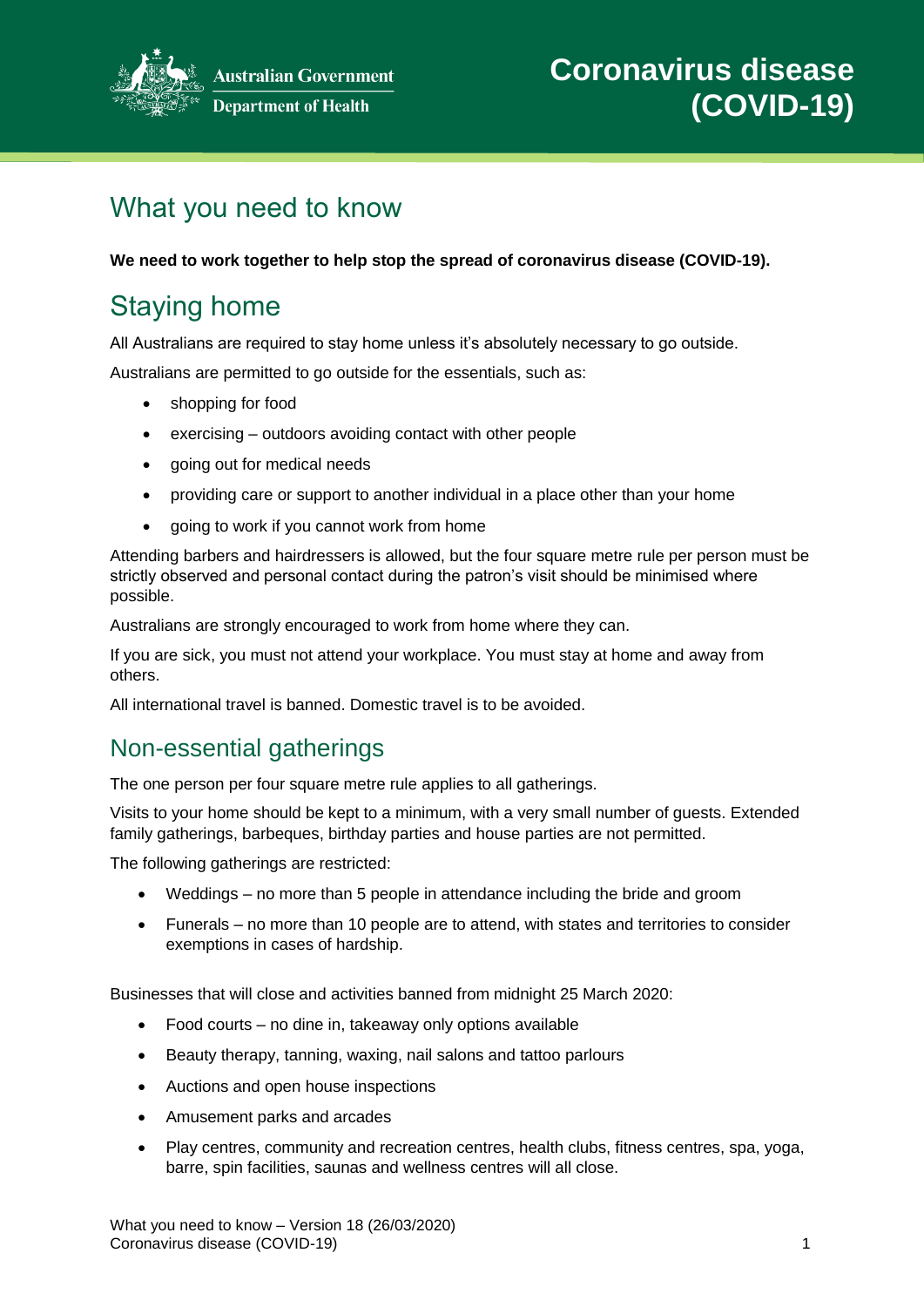

**Australian Government** 

# What you need to know

**We need to work together to help stop the spread of coronavirus disease (COVID-19).**

# Staying home

All Australians are required to stay home unless it's absolutely necessary to go outside.

Australians are permitted to go outside for the essentials, such as:

- shopping for food
- exercising outdoors avoiding contact with other people
- going out for medical needs
- providing care or support to another individual in a place other than your home
- going to work if you cannot work from home

Attending barbers and hairdressers is allowed, but the four square metre rule per person must be strictly observed and personal contact during the patron's visit should be minimised where possible.

Australians are strongly encouraged to work from home where they can.

If you are sick, you must not attend your workplace. You must stay at home and away from others.

All international travel is banned. Domestic travel is to be avoided.

#### Non-essential gatherings

The one person per four square metre rule applies to all gatherings.

Visits to your home should be kept to a minimum, with a very small number of guests. Extended family gatherings, barbeques, birthday parties and house parties are not permitted.

The following gatherings are restricted:

- Weddings no more than 5 people in attendance including the bride and groom
- Funerals no more than 10 people are to attend, with states and territories to consider exemptions in cases of hardship.

Businesses that will close and activities banned from midnight 25 March 2020:

- Food courts no dine in, takeaway only options available
- Beauty therapy, tanning, waxing, nail salons and tattoo parlours
- Auctions and open house inspections
- Amusement parks and arcades
- Play centres, community and recreation centres, health clubs, fitness centres, spa, yoga, barre, spin facilities, saunas and wellness centres will all close.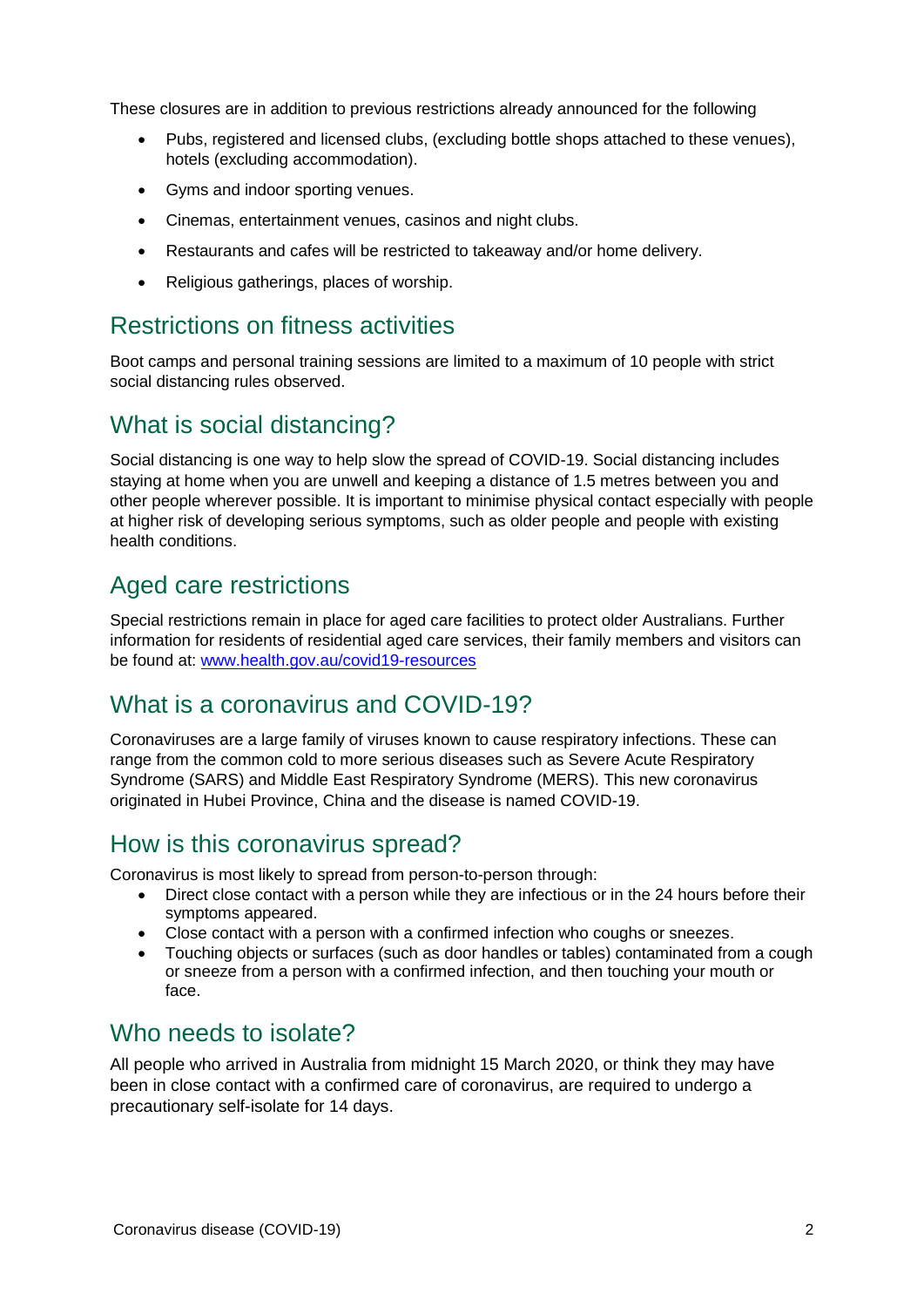These closures are in addition to previous restrictions already announced for the following

- Pubs, registered and licensed clubs, (excluding bottle shops attached to these venues), hotels (excluding accommodation).
- Gyms and indoor sporting venues.
- Cinemas, entertainment venues, casinos and night clubs.
- Restaurants and cafes will be restricted to takeaway and/or home delivery.
- Religious gatherings, places of worship.

#### Restrictions on fitness activities

Boot camps and personal training sessions are limited to a maximum of 10 people with strict social distancing rules observed.

## What is social distancing?

Social distancing is one way to help slow the spread of COVID-19. Social distancing includes staying at home when you are unwell and keeping a distance of 1.5 metres between you and other people wherever possible. It is important to minimise physical contact especially with people at higher risk of developing serious symptoms, such as older people and people with existing health conditions.

### Aged care restrictions

Special restrictions remain in place for aged care facilities to protect older Australians. Further information for residents of residential aged care services, their family members and visitors can be found at: www.health.gov.au/covid19-resources

### What is a coronavirus and COVID-19?

Coronaviruses are a large family of viruses known to cause respiratory infections. These can range from the common cold to more serious diseases such as Severe Acute Respiratory Syndrome (SARS) and Middle East Respiratory Syndrome (MERS). This new coronavirus originated in Hubei Province, China and the disease is named COVID-19.

#### How is this coronavirus spread?

Coronavirus is most likely to spread from person-to-person through:

- Direct close contact with a person while they are infectious or in the 24 hours before their symptoms appeared.
- Close contact with a person with a confirmed infection who coughs or sneezes.
- Touching objects or surfaces (such as door handles or tables) contaminated from a cough or sneeze from a person with a confirmed infection, and then touching your mouth or face.

#### Who needs to isolate?

All people who arrived in Australia from midnight 15 March 2020, or think they may have been in close contact with a confirmed care of coronavirus, are required to undergo a precautionary self-isolate for 14 days.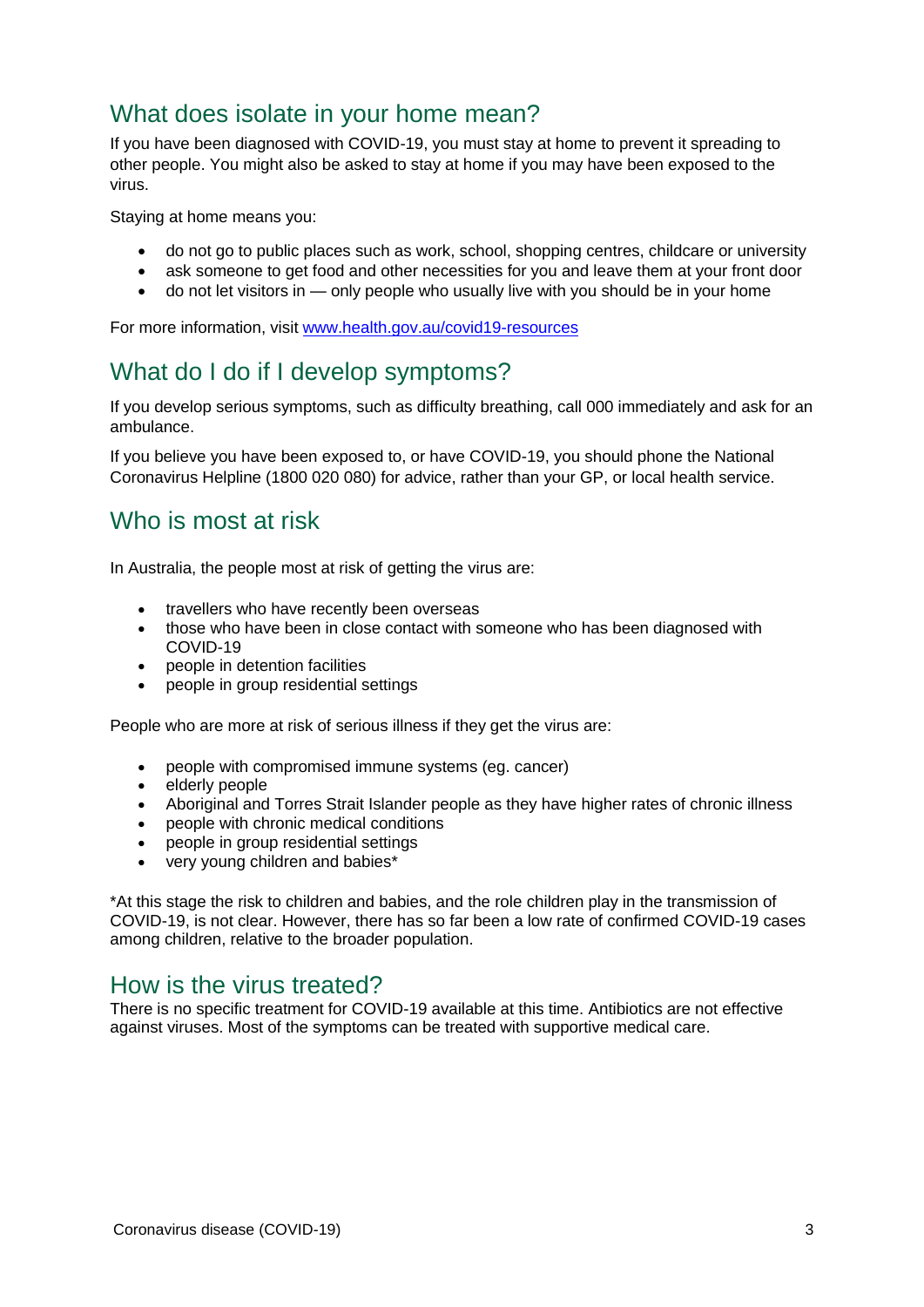## What does isolate in your home mean?

If you have been diagnosed with COVID-19, you must stay at home to prevent it spreading to other people. You might also be asked to stay at home if you may have been exposed to the virus.

Staying at home means you:

- do not go to public places such as work, school, shopping centres, childcare or university
- ask someone to get food and other necessities for you and leave them at your front door
- do not let visitors in only people who usually live with you should be in your home

For more information, visit www.health.gov.au/covid19-resources

## What do I do if I develop symptoms?

If you develop serious symptoms, such as difficulty breathing, call 000 immediately and ask for an ambulance.

If you believe you have been exposed to, or have COVID-19, you should phone the National Coronavirus Helpline (1800 020 080) for advice, rather than your GP, or local health service.

#### Who is most at risk

In Australia, the people most at risk of getting the virus are:

- travellers who have recently been overseas
- those who have been in close contact with someone who has been diagnosed with COVID-19
- people in detention facilities
- people in group residential settings

People who are more at risk of serious illness if they get the virus are:

- people with compromised immune systems (eg. cancer)
- elderly people
- Aboriginal and Torres Strait Islander people as they have higher rates of chronic illness
- people with chronic medical conditions
- people in group residential settings
- very young children and babies\*

\*At this stage the risk to children and babies, and the role children play in the transmission of COVID-19, is not clear. However, there has so far been a low rate of confirmed COVID-19 cases among children, relative to the broader population.

#### How is the virus treated?

There is no specific treatment for COVID-19 available at this time. Antibiotics are not effective against viruses. Most of the symptoms can be treated with supportive medical care.